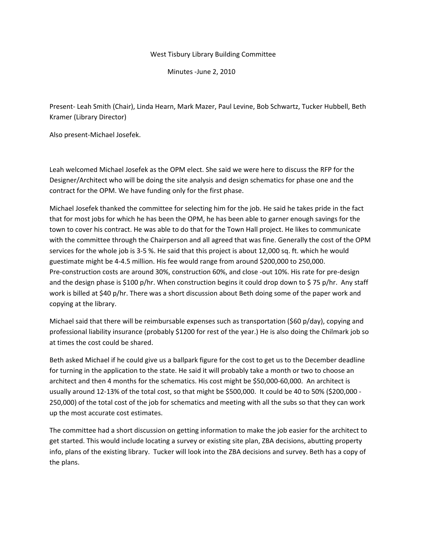## West Tisbury Library Building Committee

Minutes ‐June 2, 2010

Present‐ Leah Smith (Chair), Linda Hearn, Mark Mazer, Paul Levine, Bob Schwartz, Tucker Hubbell, Beth Kramer (Library Director)

Also present‐Michael Josefek.

Leah welcomed Michael Josefek as the OPM elect. She said we were here to discuss the RFP for the Designer/Architect who will be doing the site analysis and design schematics for phase one and the contract for the OPM. We have funding only for the first phase.

Michael Josefek thanked the committee for selecting him for the job. He said he takes pride in the fact that for most jobs for which he has been the OPM, he has been able to garner enough savings for the town to cover his contract. He was able to do that for the Town Hall project. He likes to communicate with the committee through the Chairperson and all agreed that was fine. Generally the cost of the OPM services for the whole job is 3‐5 %. He said that this project is about 12,000 sq. ft. which he would guestimate might be 4‐4.5 million. His fee would range from around \$200,000 to 250,000. Pre‐construction costs are around 30%, construction 60%, and close ‐out 10%. His rate for pre‐design and the design phase is \$100 p/hr. When construction begins it could drop down to \$ 75 p/hr. Any staff work is billed at \$40 p/hr. There was a short discussion about Beth doing some of the paper work and copying at the library.

Michael said that there will be reimbursable expenses such as transportation (\$60 p/day), copying and professional liability insurance (probably \$1200 for rest of the year.) He is also doing the Chilmark job so at times the cost could be shared.

Beth asked Michael if he could give us a ballpark figure for the cost to get us to the December deadline for turning in the application to the state. He said it will probably take a month or two to choose an architect and then 4 months for the schematics. His cost might be \$50,000‐60,000. An architect is usually around 12‐13% of the total cost, so that might be \$500,000. It could be 40 to 50% (\$200,000 ‐ 250,000) of the total cost of the job for schematics and meeting with all the subs so that they can work up the most accurate cost estimates.

The committee had a short discussion on getting information to make the job easier for the architect to get started. This would include locating a survey or existing site plan, ZBA decisions, abutting property info, plans of the existing library. Tucker will look into the ZBA decisions and survey. Beth has a copy of the plans.